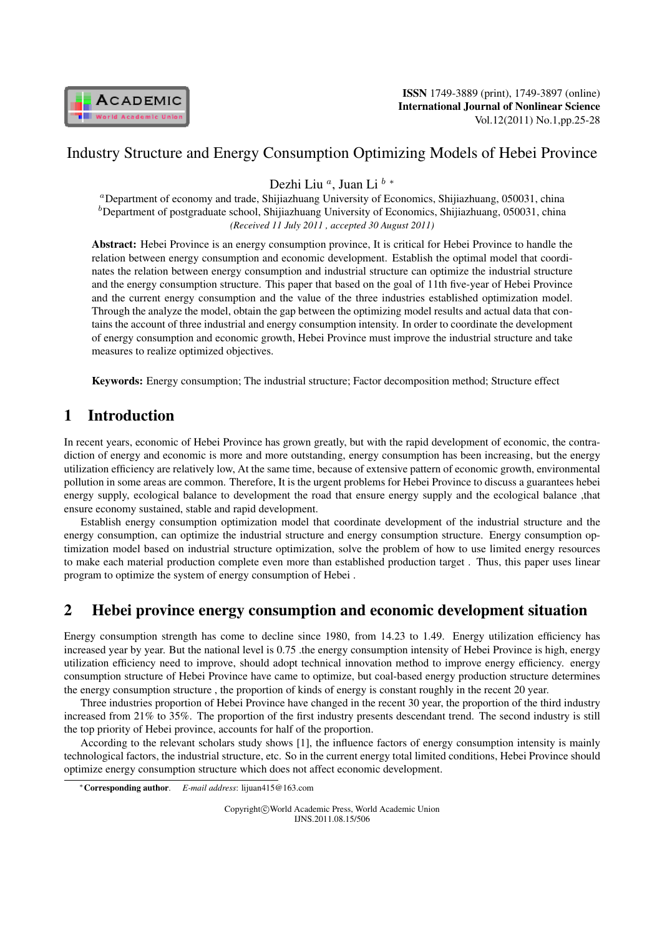

## Industry Structure and Energy Consumption Optimizing Models of Hebei Province

Dezhi Liu *<sup>a</sup>* , Juan Li *<sup>b</sup> <sup>∗</sup>*

*<sup>a</sup>*Department of economy and trade, Shijiazhuang University of Economics, Shijiazhuang, 050031, china <sup>*b*</sup>Department of postgraduate school, Shijiazhuang University of Economics, Shijiazhuang, 050031, china *(Received 11 July 2011 , accepted 30 August 2011)*

Abstract: Hebei Province is an energy consumption province, It is critical for Hebei Province to handle the relation between energy consumption and economic development. Establish the optimal model that coordinates the relation between energy consumption and industrial structure can optimize the industrial structure and the energy consumption structure. This paper that based on the goal of 11th five-year of Hebei Province and the current energy consumption and the value of the three industries established optimization model. Through the analyze the model, obtain the gap between the optimizing model results and actual data that contains the account of three industrial and energy consumption intensity. In order to coordinate the development of energy consumption and economic growth, Hebei Province must improve the industrial structure and take measures to realize optimized objectives.

Keywords: Energy consumption; The industrial structure; Factor decomposition method; Structure effect

# 1 Introduction

In recent years, economic of Hebei Province has grown greatly, but with the rapid development of economic, the contradiction of energy and economic is more and more outstanding, energy consumption has been increasing, but the energy utilization efficiency are relatively low, At the same time, because of extensive pattern of economic growth, environmental pollution in some areas are common. Therefore, It is the urgent problems for Hebei Province to discuss a guarantees hebei energy supply, ecological balance to development the road that ensure energy supply and the ecological balance ,that ensure economy sustained, stable and rapid development.

Establish energy consumption optimization model that coordinate development of the industrial structure and the energy consumption, can optimize the industrial structure and energy consumption structure. Energy consumption optimization model based on industrial structure optimization, solve the problem of how to use limited energy resources to make each material production complete even more than established production target . Thus, this paper uses linear program to optimize the system of energy consumption of Hebei .

# 2 Hebei province energy consumption and economic development situation

Energy consumption strength has come to decline since 1980, from 14.23 to 1.49. Energy utilization efficiency has increased year by year. But the national level is 0.75 .the energy consumption intensity of Hebei Province is high, energy utilization efficiency need to improve, should adopt technical innovation method to improve energy efficiency. energy consumption structure of Hebei Province have came to optimize, but coal-based energy production structure determines the energy consumption structure , the proportion of kinds of energy is constant roughly in the recent 20 year.

Three industries proportion of Hebei Province have changed in the recent 30 year, the proportion of the third industry increased from 21% to 35%. The proportion of the first industry presents descendant trend. The second industry is still the top priority of Hebei province, accounts for half of the proportion.

According to the relevant scholars study shows [1], the influence factors of energy consumption intensity is mainly technological factors, the industrial structure, etc. So in the current energy total limited conditions, Hebei Province should optimize energy consumption structure which does not affect economic development.

Copyright*⃝*c World Academic Press, World Academic Union IJNS.2011.08.15/506

*<sup>∗</sup>*Corresponding author. *E-mail address*: lijuan415@163.com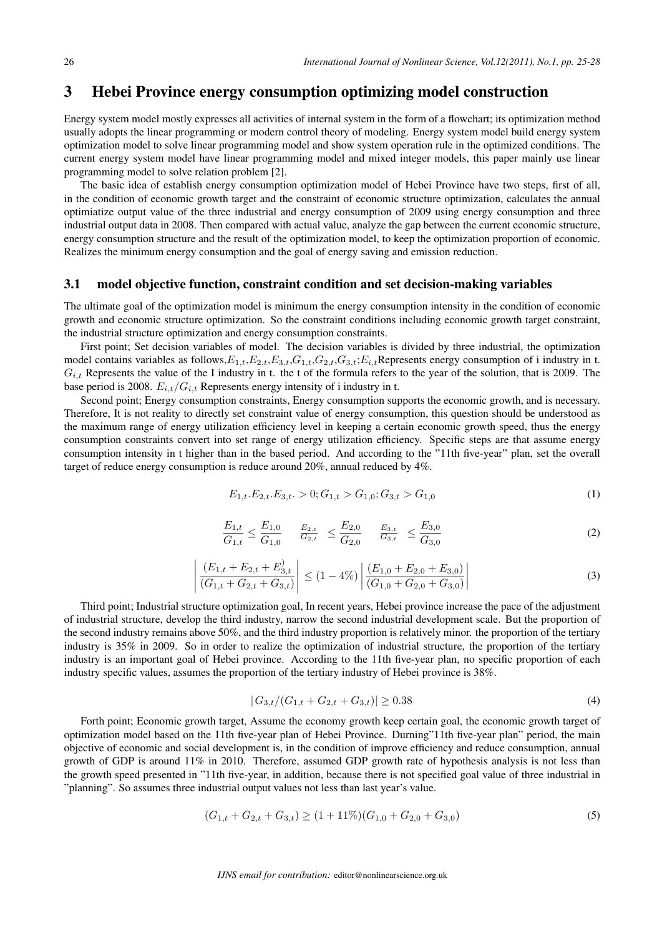### 3 Hebei Province energy consumption optimizing model construction

Energy system model mostly expresses all activities of internal system in the form of a flowchart; its optimization method usually adopts the linear programming or modern control theory of modeling. Energy system model build energy system optimization model to solve linear programming model and show system operation rule in the optimized conditions. The current energy system model have linear programming model and mixed integer models, this paper mainly use linear programming model to solve relation problem [2].

The basic idea of establish energy consumption optimization model of Hebei Province have two steps, first of all, in the condition of economic growth target and the constraint of economic structure optimization, calculates the annual optimiatize output value of the three industrial and energy consumption of 2009 using energy consumption and three industrial output data in 2008. Then compared with actual value, analyze the gap between the current economic structure, energy consumption structure and the result of the optimization model, to keep the optimization proportion of economic. Realizes the minimum energy consumption and the goal of energy saving and emission reduction.

#### 3.1 model objective function, constraint condition and set decision-making variables

The ultimate goal of the optimization model is minimum the energy consumption intensity in the condition of economic growth and economic structure optimization. So the constraint conditions including economic growth target constraint, the industrial structure optimization and energy consumption constraints.

First point; Set decision variables of model. The decision variables is divided by three industrial, the optimization model contains variables as follows, $E_{1,t}$ , $E_{2,t}$ , $E_{3,t}$ , $G_{1,t}$ , $G_{2,t}$ , $G_{3,t}$ ; $E_{i,t}$ Represents energy consumption of i industry in t.  $G_{i,t}$  Represents the value of the I industry in t. the t of the formula refers to the year of the solution, that is 2009. The base period is 2008.  $E_{i,t}/G_{i,t}$  Represents energy intensity of i industry in t.

Second point; Energy consumption constraints, Energy consumption supports the economic growth, and is necessary. Therefore, It is not reality to directly set constraint value of energy consumption, this question should be understood as the maximum range of energy utilization efficiency level in keeping a certain economic growth speed, thus the energy consumption constraints convert into set range of energy utilization efficiency. Specific steps are that assume energy consumption intensity in t higher than in the based period. And according to the "11th five-year" plan, set the overall target of reduce energy consumption is reduce around 20%, annual reduced by 4%.

$$
E_{1,t}.E_{2,t}.E_{3,t} > 0; G_{1,t} > G_{1,0}; G_{3,t} > G_{1,0}
$$
\n
$$
(1)
$$

$$
\frac{E_{1,t}}{G_{1,t}} \le \frac{E_{1,0}}{G_{1,0}} \qquad \frac{E_{2,t}}{G_{2,t}} \le \frac{E_{2,0}}{G_{2,0}} \qquad \frac{E_{3,t}}{G_{3,t}} \le \frac{E_{3,0}}{G_{3,0}} \tag{2}
$$

$$
\left| \frac{(E_{1,t} + E_{2,t} + E_{3,t}^{\prime})}{(G_{1,t} + G_{2,t} + G_{3,t})} \right| \le (1 - 4\%) \left| \frac{(E_{1,0} + E_{2,0} + E_{3,0})}{(G_{1,0} + G_{2,0} + G_{3,0})} \right|
$$
\n(3)

Third point; Industrial structure optimization goal, In recent years, Hebei province increase the pace of the adjustment of industrial structure, develop the third industry, narrow the second industrial development scale. But the proportion of the second industry remains above 50%, and the third industry proportion is relatively minor. the proportion of the tertiary industry is 35% in 2009. So in order to realize the optimization of industrial structure, the proportion of the tertiary industry is an important goal of Hebei province. According to the 11th five-year plan, no specific proportion of each industry specific values, assumes the proportion of the tertiary industry of Hebei province is 38%.

$$
|G_{3,t}/(G_{1,t}+G_{2,t}+G_{3,t})| \ge 0.38
$$
\n(4)

Forth point; Economic growth target, Assume the economy growth keep certain goal, the economic growth target of optimization model based on the 11th five-year plan of Hebei Province. Durning"11th five-year plan" period, the main objective of economic and social development is, in the condition of improve efficiency and reduce consumption, annual growth of GDP is around 11% in 2010. Therefore, assumed GDP growth rate of hypothesis analysis is not less than the growth speed presented in "11th five-year, in addition, because there is not specified goal value of three industrial in "planning". So assumes three industrial output values not less than last year's value.

$$
(G_{1,t} + G_{2,t} + G_{3,t}) \ge (1 + 11\%) (G_{1,0} + G_{2,0} + G_{3,0})
$$
\n<sup>(5)</sup>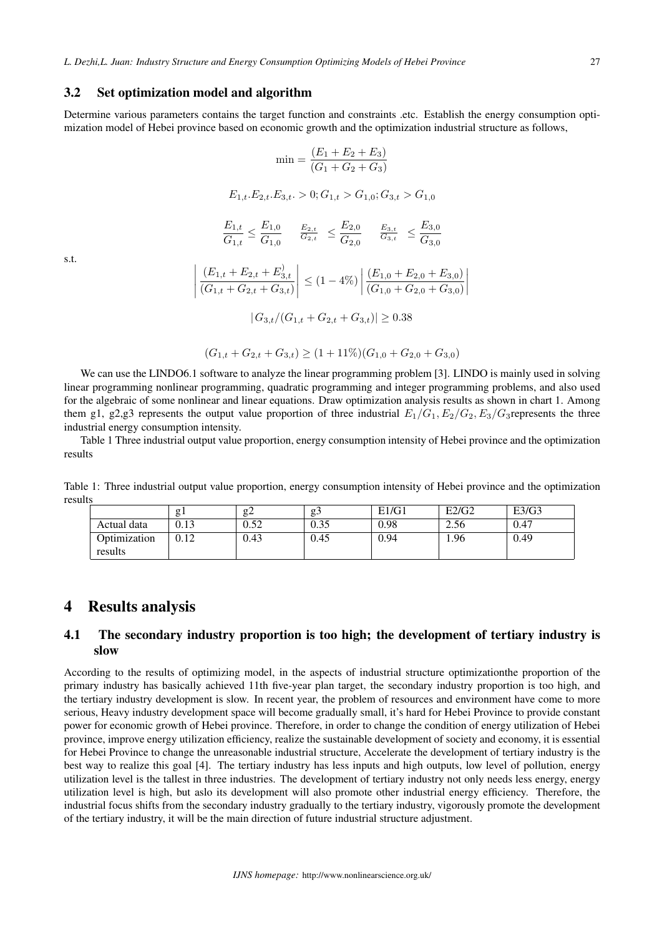#### 3.2 Set optimization model and algorithm

Determine various parameters contains the target function and constraints .etc. Establish the energy consumption optimization model of Hebei province based on economic growth and the optimization industrial structure as follows,

$$
\min = \frac{(E_1 + E_2 + E_3)}{(G_1 + G_2 + G_3)}
$$

$$
E_{1,t}.E_{2,t}.E_{3,t}. > 0; G_{1,t} > G_{1,0}; G_{3,t} > G_{1,0}
$$

$$
\frac{E_{1,t}}{G_{1,t}} \le \frac{E_{1,0}}{G_{1,0}} \quad \frac{E_{2,t}}{G_{2,t}} \le \frac{E_{2,0}}{G_{2,0}} \quad \frac{E_{3,t}}{G_{3,t}} \le \frac{E_{3,0}}{G_{3,0}}
$$

$$
\left| \frac{(E_{1,t} + E_{2,t} + E_{3,t})}{(G_{1,t} + G_{2,t} + G_{3,t})} \right| \le (1 - 4\%) \left| \frac{(E_{1,0} + E_{2,0} + E_{3,0})}{(G_{1,0} + G_{2,0} + G_{3,0})} \right|
$$

$$
|G_{3,t}/(G_{1,t} + G_{2,t} + G_{3,t})| \ge 0.38
$$

 $\begin{array}{c} \hline \end{array}$  $\begin{array}{c} \begin{array}{c} \begin{array}{c} \end{array} \\ \begin{array}{c} \end{array} \end{array} \end{array}$ 

$$
(G_{1,t} + G_{2,t} + G_{3,t}) \ge (1 + 11\%) (G_{1,0} + G_{2,0} + G_{3,0})
$$

We can use the LINDO6.1 software to analyze the linear programming problem [3]. LINDO is mainly used in solving linear programming nonlinear programming, quadratic programming and integer programming problems, and also used for the algebraic of some nonlinear and linear equations. Draw optimization analysis results as shown in chart 1. Among them g1, g2,g3 represents the output value proportion of three industrial  $E_1/G_1, E_2/G_2, E_3/G_3$  represents the three industrial energy consumption intensity.

Table 1 Three industrial output value proportion, energy consumption intensity of Hebei province and the optimization results

Table 1: Three industrial output value proportion, energy consumption intensity of Hebei province and the optimization results

|              | g    | $\sigma$<br>84 | g:           | E1/G1 | E2/G2 | E3/G3 |
|--------------|------|----------------|--------------|-------|-------|-------|
| Actual data  | 0.13 | 0.52           | በ 35<br>U.JJ | 0.98  | 2.56  | 0.47  |
| Optimization | 0.12 | 0.43           | 0.45         | 0.94  | 1.96  | 0.49  |
| results      |      |                |              |       |       |       |

### 4 Results analysis

#### 4.1 The secondary industry proportion is too high; the development of tertiary industry is slow

According to the results of optimizing model, in the aspects of industrial structure optimizationthe proportion of the primary industry has basically achieved 11th five-year plan target, the secondary industry proportion is too high, and the tertiary industry development is slow. In recent year, the problem of resources and environment have come to more serious, Heavy industry development space will become gradually small, it's hard for Hebei Province to provide constant power for economic growth of Hebei province. Therefore, in order to change the condition of energy utilization of Hebei province, improve energy utilization efficiency, realize the sustainable development of society and economy, it is essential for Hebei Province to change the unreasonable industrial structure, Accelerate the development of tertiary industry is the best way to realize this goal [4]. The tertiary industry has less inputs and high outputs, low level of pollution, energy utilization level is the tallest in three industries. The development of tertiary industry not only needs less energy, energy utilization level is high, but aslo its development will also promote other industrial energy efficiency. Therefore, the industrial focus shifts from the secondary industry gradually to the tertiary industry, vigorously promote the development of the tertiary industry, it will be the main direction of future industrial structure adjustment.

s.t.